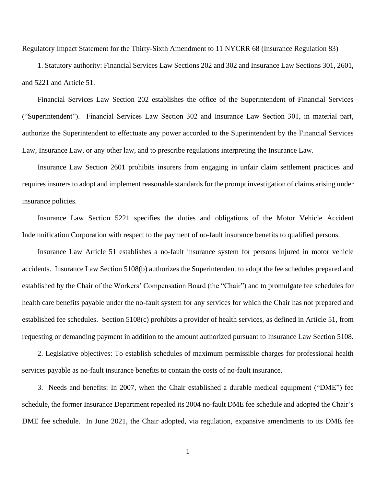Regulatory Impact Statement for the Thirty-Sixth Amendment to 11 NYCRR 68 (Insurance Regulation 83)

1. Statutory authority: Financial Services Law Sections 202 and 302 and Insurance Law Sections 301, 2601, and 5221 and Article 51.

Financial Services Law Section 202 establishes the office of the Superintendent of Financial Services ("Superintendent"). Financial Services Law Section 302 and Insurance Law Section 301, in material part, authorize the Superintendent to effectuate any power accorded to the Superintendent by the Financial Services Law, Insurance Law, or any other law, and to prescribe regulations interpreting the Insurance Law.

Insurance Law Section 2601 prohibits insurers from engaging in unfair claim settlement practices and requires insurers to adopt and implement reasonable standards for the prompt investigation of claims arising under insurance policies.

Insurance Law Section 5221 specifies the duties and obligations of the Motor Vehicle Accident Indemnification Corporation with respect to the payment of no-fault insurance benefits to qualified persons.

Insurance Law Article 51 establishes a no-fault insurance system for persons injured in motor vehicle accidents. Insurance Law Section 5108(b) authorizes the Superintendent to adopt the fee schedules prepared and established by the Chair of the Workers' Compensation Board (the "Chair") and to promulgate fee schedules for health care benefits payable under the no-fault system for any services for which the Chair has not prepared and established fee schedules. Section 5108(c) prohibits a provider of health services, as defined in Article 51, from requesting or demanding payment in addition to the amount authorized pursuant to Insurance Law Section 5108.

2. Legislative objectives: To establish schedules of maximum permissible charges for professional health services payable as no-fault insurance benefits to contain the costs of no-fault insurance.

3. Needs and benefits: In 2007, when the Chair established a durable medical equipment ("DME") fee schedule, the former Insurance Department repealed its 2004 no-fault DME fee schedule and adopted the Chair's DME fee schedule. In June 2021, the Chair adopted, via regulation, expansive amendments to its DME fee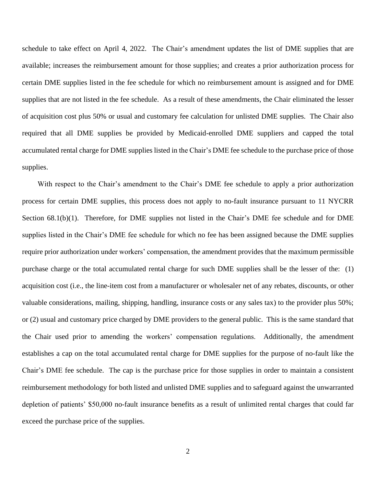schedule to take effect on April 4, 2022. The Chair's amendment updates the list of DME supplies that are available; increases the reimbursement amount for those supplies; and creates a prior authorization process for certain DME supplies listed in the fee schedule for which no reimbursement amount is assigned and for DME supplies that are not listed in the fee schedule. As a result of these amendments, the Chair eliminated the lesser of acquisition cost plus 50% or usual and customary fee calculation for unlisted DME supplies. The Chair also required that all DME supplies be provided by Medicaid-enrolled DME suppliers and capped the total accumulated rental charge for DME supplies listed in the Chair's DME fee schedule to the purchase price of those supplies.

With respect to the Chair's amendment to the Chair's DME fee schedule to apply a prior authorization process for certain DME supplies, this process does not apply to no-fault insurance pursuant to 11 NYCRR Section 68.1(b)(1). Therefore, for DME supplies not listed in the Chair's DME fee schedule and for DME supplies listed in the Chair's DME fee schedule for which no fee has been assigned because the DME supplies require prior authorization under workers' compensation, the amendment provides that the maximum permissible purchase charge or the total accumulated rental charge for such DME supplies shall be the lesser of the: (1) acquisition cost (i.e., the line-item cost from a manufacturer or wholesaler net of any rebates, discounts, or other valuable considerations, mailing, shipping, handling, insurance costs or any sales tax) to the provider plus 50%; or (2) usual and customary price charged by DME providers to the general public. This is the same standard that the Chair used prior to amending the workers' compensation regulations. Additionally, the amendment establishes a cap on the total accumulated rental charge for DME supplies for the purpose of no-fault like the Chair's DME fee schedule. The cap is the purchase price for those supplies in order to maintain a consistent reimbursement methodology for both listed and unlisted DME supplies and to safeguard against the unwarranted depletion of patients' \$50,000 no-fault insurance benefits as a result of unlimited rental charges that could far exceed the purchase price of the supplies.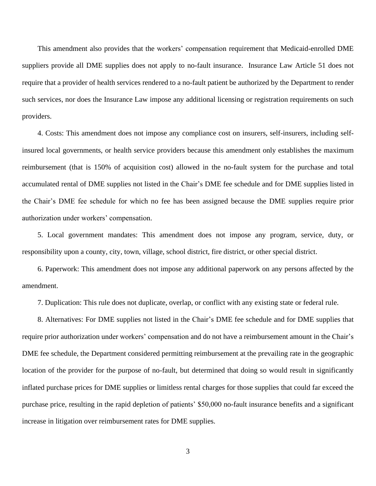This amendment also provides that the workers' compensation requirement that Medicaid-enrolled DME suppliers provide all DME supplies does not apply to no-fault insurance. Insurance Law Article 51 does not require that a provider of health services rendered to a no-fault patient be authorized by the Department to render such services, nor does the Insurance Law impose any additional licensing or registration requirements on such providers.

4. Costs: This amendment does not impose any compliance cost on insurers, self-insurers, including selfinsured local governments, or health service providers because this amendment only establishes the maximum reimbursement (that is 150% of acquisition cost) allowed in the no-fault system for the purchase and total accumulated rental of DME supplies not listed in the Chair's DME fee schedule and for DME supplies listed in the Chair's DME fee schedule for which no fee has been assigned because the DME supplies require prior authorization under workers' compensation.

5. Local government mandates: This amendment does not impose any program, service, duty, or responsibility upon a county, city, town, village, school district, fire district, or other special district.

6. Paperwork: This amendment does not impose any additional paperwork on any persons affected by the amendment.

7. Duplication: This rule does not duplicate, overlap, or conflict with any existing state or federal rule.

8. Alternatives: For DME supplies not listed in the Chair's DME fee schedule and for DME supplies that require prior authorization under workers' compensation and do not have a reimbursement amount in the Chair's DME fee schedule, the Department considered permitting reimbursement at the prevailing rate in the geographic location of the provider for the purpose of no-fault, but determined that doing so would result in significantly inflated purchase prices for DME supplies or limitless rental charges for those supplies that could far exceed the purchase price, resulting in the rapid depletion of patients' \$50,000 no-fault insurance benefits and a significant increase in litigation over reimbursement rates for DME supplies.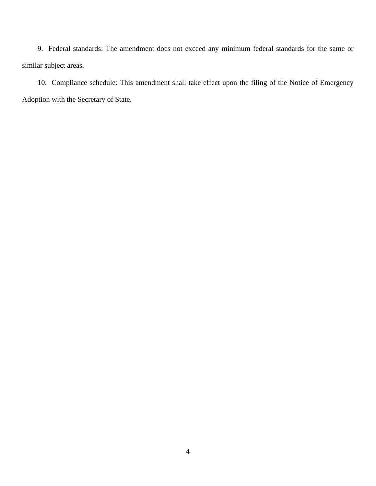9. Federal standards: The amendment does not exceed any minimum federal standards for the same or similar subject areas.

10. Compliance schedule: This amendment shall take effect upon the filing of the Notice of Emergency Adoption with the Secretary of State.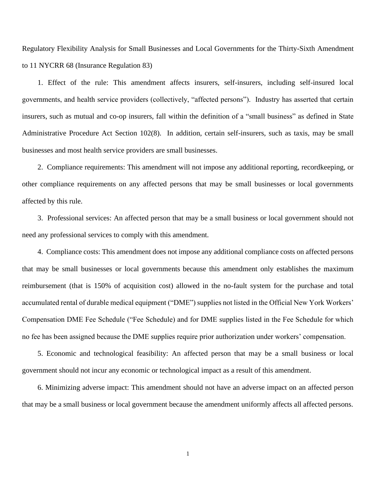Regulatory Flexibility Analysis for Small Businesses and Local Governments for the Thirty-Sixth Amendment to 11 NYCRR 68 (Insurance Regulation 83)

1. Effect of the rule: This amendment affects insurers, self-insurers, including self-insured local governments, and health service providers (collectively, "affected persons"). Industry has asserted that certain insurers, such as mutual and co-op insurers, fall within the definition of a "small business" as defined in State Administrative Procedure Act Section 102(8). In addition, certain self-insurers, such as taxis, may be small businesses and most health service providers are small businesses.

2. Compliance requirements: This amendment will not impose any additional reporting, recordkeeping, or other compliance requirements on any affected persons that may be small businesses or local governments affected by this rule.

3. Professional services: An affected person that may be a small business or local government should not need any professional services to comply with this amendment.

 4. Compliance costs: This amendment does not impose any additional compliance costs on affected persons that may be small businesses or local governments because this amendment only establishes the maximum reimbursement (that is 150% of acquisition cost) allowed in the no-fault system for the purchase and total accumulated rental of durable medical equipment ("DME") supplies not listed in the Official New York Workers' Compensation DME Fee Schedule ("Fee Schedule) and for DME supplies listed in the Fee Schedule for which no fee has been assigned because the DME supplies require prior authorization under workers' compensation.

5. Economic and technological feasibility: An affected person that may be a small business or local government should not incur any economic or technological impact as a result of this amendment.

6. Minimizing adverse impact: This amendment should not have an adverse impact on an affected person that may be a small business or local government because the amendment uniformly affects all affected persons.

1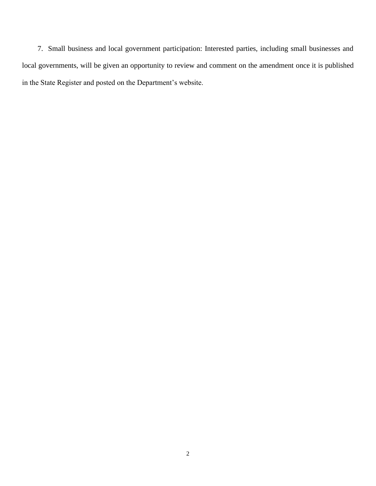7. Small business and local government participation: Interested parties, including small businesses and local governments, will be given an opportunity to review and comment on the amendment once it is published in the State Register and posted on the Department's website.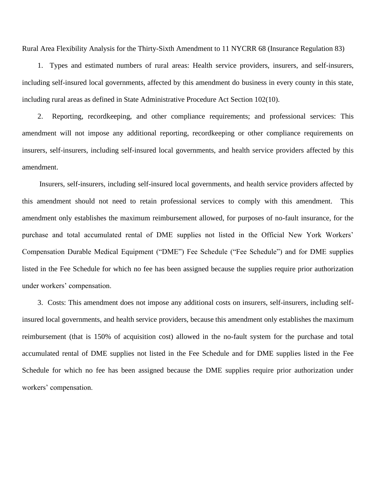Rural Area Flexibility Analysis for the Thirty-Sixth Amendment to 11 NYCRR 68 (Insurance Regulation 83)

1. Types and estimated numbers of rural areas: Health service providers, insurers, and self-insurers, including self-insured local governments, affected by this amendment do business in every county in this state, including rural areas as defined in State Administrative Procedure Act Section 102(10).

2. Reporting, recordkeeping, and other compliance requirements; and professional services: This amendment will not impose any additional reporting, recordkeeping or other compliance requirements on insurers, self-insurers, including self-insured local governments, and health service providers affected by this amendment.

Insurers, self-insurers, including self-insured local governments, and health service providers affected by this amendment should not need to retain professional services to comply with this amendment. This amendment only establishes the maximum reimbursement allowed, for purposes of no-fault insurance, for the purchase and total accumulated rental of DME supplies not listed in the Official New York Workers' Compensation Durable Medical Equipment ("DME") Fee Schedule ("Fee Schedule") and for DME supplies listed in the Fee Schedule for which no fee has been assigned because the supplies require prior authorization under workers' compensation.

3. Costs: This amendment does not impose any additional costs on insurers, self-insurers, including selfinsured local governments, and health service providers, because this amendment only establishes the maximum reimbursement (that is 150% of acquisition cost) allowed in the no-fault system for the purchase and total accumulated rental of DME supplies not listed in the Fee Schedule and for DME supplies listed in the Fee Schedule for which no fee has been assigned because the DME supplies require prior authorization under workers' compensation.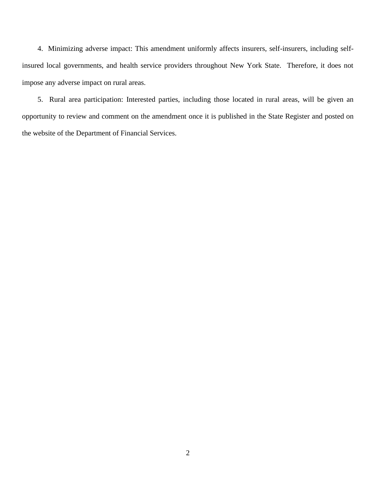4. Minimizing adverse impact: This amendment uniformly affects insurers, self-insurers, including selfinsured local governments, and health service providers throughout New York State. Therefore, it does not impose any adverse impact on rural areas.

5. Rural area participation: Interested parties, including those located in rural areas, will be given an opportunity to review and comment on the amendment once it is published in the State Register and posted on the website of the Department of Financial Services.